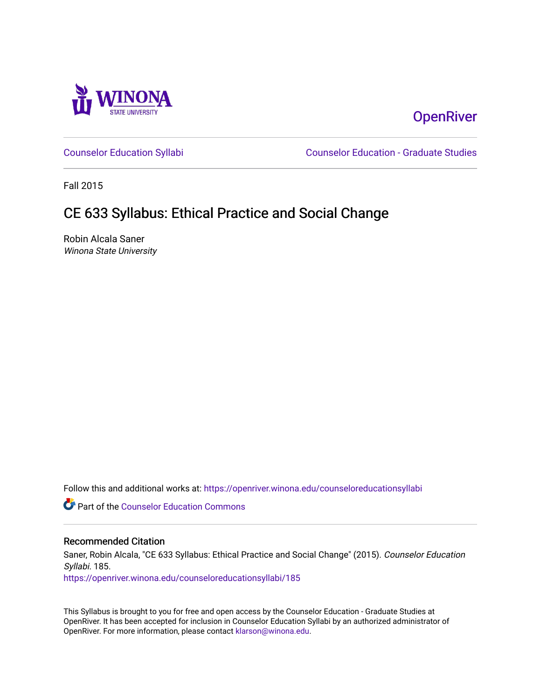

# **OpenRiver**

[Counselor Education Syllabi](https://openriver.winona.edu/counseloreducationsyllabi) [Counselor Education - Graduate Studies](https://openriver.winona.edu/counseloreducation) 

Fall 2015

# CE 633 Syllabus: Ethical Practice and Social Change

Robin Alcala Saner Winona State University

Follow this and additional works at: [https://openriver.winona.edu/counseloreducationsyllabi](https://openriver.winona.edu/counseloreducationsyllabi?utm_source=openriver.winona.edu%2Fcounseloreducationsyllabi%2F185&utm_medium=PDF&utm_campaign=PDFCoverPages)

Part of the [Counselor Education Commons](http://network.bepress.com/hgg/discipline/1278?utm_source=openriver.winona.edu%2Fcounseloreducationsyllabi%2F185&utm_medium=PDF&utm_campaign=PDFCoverPages) 

#### Recommended Citation

Saner, Robin Alcala, "CE 633 Syllabus: Ethical Practice and Social Change" (2015). Counselor Education Syllabi. 185.

[https://openriver.winona.edu/counseloreducationsyllabi/185](https://openriver.winona.edu/counseloreducationsyllabi/185?utm_source=openriver.winona.edu%2Fcounseloreducationsyllabi%2F185&utm_medium=PDF&utm_campaign=PDFCoverPages)

This Syllabus is brought to you for free and open access by the Counselor Education - Graduate Studies at OpenRiver. It has been accepted for inclusion in Counselor Education Syllabi by an authorized administrator of OpenRiver. For more information, please contact [klarson@winona.edu](mailto:klarson@winona.edu).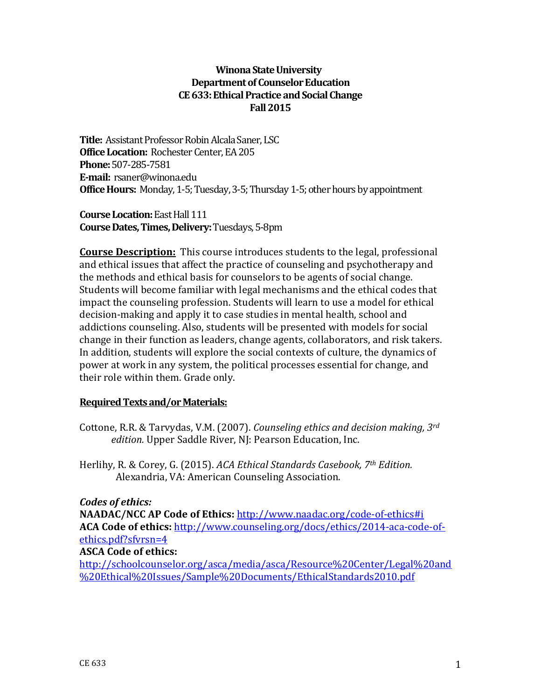## **Winona State University Department of Counselor Education CE633: Ethical Practice and Social Change Fall 2015**

**Title:** Assistant Professor Robin Alcala Saner, LSC **Office Location:** Rochester Center, EA 205 **Phone:**507-285-7581 **E-mail:** rsaner@winona.edu **Office Hours:** Monday, 1-5; Tuesday, 3-5; Thursday 1-5; other hours by appointment

**Course Location:**East Hall 111 **Course Dates, Times, Delivery:**Tuesdays, 5-8pm

**Course Description:** This course introduces students to the legal, professional and ethical issues that affect the practice of counseling and psychotherapy and the methods and ethical basis for counselors to be agents of social change. Students will become familiar with legal mechanisms and the ethical codes that impact the counseling profession. Students will learn to use a model for ethical decision-making and apply it to case studies in mental health, school and addictions counseling. Also, students will be presented with models for social change in their function as leaders, change agents, collaborators, and risk takers. In addition, students will explore the social contexts of culture, the dynamics of power at work in any system, the political processes essential for change, and their role within them. Grade only.

## **Required Texts and/or Materials:**

- Cottone, R.R. & Tarvydas, V.M. (2007). *Counseling ethics and decision making, 3rd edition.* Upper Saddle River, NJ: Pearson Education, Inc.
- Herlihy, R. & Corey, G. (2015). *ACA Ethical Standards Casebook, 7th Edition.* Alexandria, VA: American Counseling Association.

## *Codes of ethics:*

**NAADAC/NCC AP Code of Ethics:** <http://www.naadac.org/code-of-ethics#i> **ACA Code of ethics:** [http://www.counseling.org/docs/ethics/2014-aca-code-of](http://www.counseling.org/docs/ethics/2014-aca-code-of-ethics.pdf?sfvrsn=4)[ethics.pdf?sfvrsn=4](http://www.counseling.org/docs/ethics/2014-aca-code-of-ethics.pdf?sfvrsn=4)

## **ASCA Code of ethics:**

[http://schoolcounselor.org/asca/media/asca/Resource%20Center/Legal%20and](http://schoolcounselor.org/asca/media/asca/Resource%20Center/Legal%20and%20Ethical%20Issues/Sample%20Documents/EthicalStandards2010.pdf) [%20Ethical%20Issues/Sample%20Documents/EthicalStandards2010.pdf](http://schoolcounselor.org/asca/media/asca/Resource%20Center/Legal%20and%20Ethical%20Issues/Sample%20Documents/EthicalStandards2010.pdf)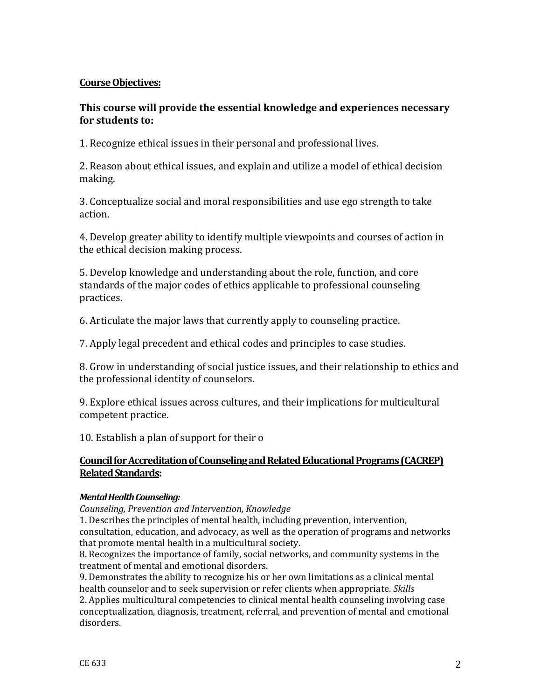## **Course Objectives:**

## **This course will provide the essential knowledge and experiences necessary for students to:**

1. Recognize ethical issues in their personal and professional lives.

2. Reason about ethical issues, and explain and utilize a model of ethical decision making.

3. Conceptualize social and moral responsibilities and use ego strength to take action.

4. Develop greater ability to identify multiple viewpoints and courses of action in the ethical decision making process.

5. Develop knowledge and understanding about the role, function, and core standards of the major codes of ethics applicable to professional counseling practices.

6. Articulate the major laws that currently apply to counseling practice.

7. Apply legal precedent and ethical codes and principles to case studies.

8. Grow in understanding of social justice issues, and their relationship to ethics and the professional identity of counselors.

9. Explore ethical issues across cultures, and their implications for multicultural competent practice.

10. Establish a plan of support for their o

## **Council for Accreditation of Counseling and Related Educational Programs (CACREP) Related Standards:**

### *Mental Health Counseling:*

*Counseling, Prevention and Intervention, Knowledge*

1. Describes the principles of mental health, including prevention, intervention, consultation, education, and advocacy, as well as the operation of programs and networks that promote mental health in a multicultural society.

8. Recognizes the importance of family, social networks, and community systems in the treatment of mental and emotional disorders.

9. Demonstrates the ability to recognize his or her own limitations as a clinical mental health counselor and to seek supervision or refer clients when appropriate. *Skills*

2. Applies multicultural competencies to clinical mental health counseling involving case conceptualization, diagnosis, treatment, referral, and prevention of mental and emotional disorders.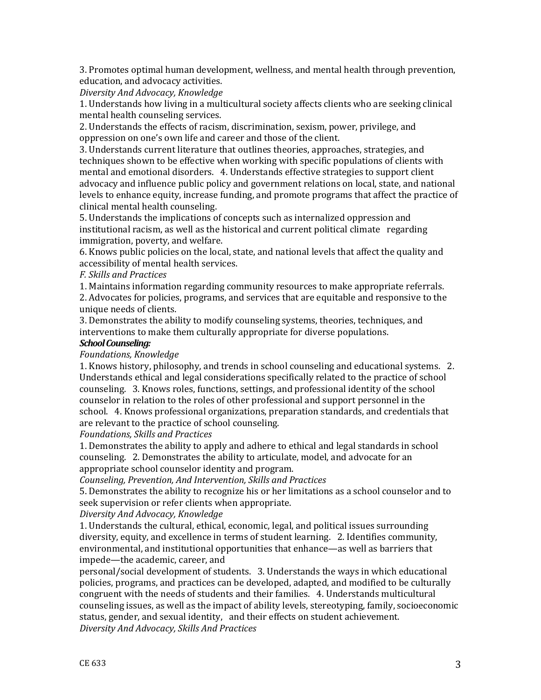3. Promotes optimal human development, wellness, and mental health through prevention, education, and advocacy activities.

*Diversity And Advocacy, Knowledge*

1. Understands how living in a multicultural society affects clients who are seeking clinical mental health counseling services.

2. Understands the effects of racism, discrimination, sexism, power, privilege, and oppression on one's own life and career and those of the client.

3. Understands current literature that outlines theories, approaches, strategies, and techniques shown to be effective when working with specific populations of clients with mental and emotional disorders. 4. Understands effective strategies to support client advocacy and influence public policy and government relations on local, state, and national levels to enhance equity, increase funding, and promote programs that affect the practice of clinical mental health counseling.

5. Understands the implications of concepts such as internalized oppression and institutional racism, as well as the historical and current political climate regarding immigration, poverty, and welfare.

6. Knows public policies on the local, state, and national levels that affect the quality and accessibility of mental health services.

### *F. Skills and Practices*

1. Maintains information regarding community resources to make appropriate referrals. 2. Advocates for policies, programs, and services that are equitable and responsive to the unique needs of clients.

3. Demonstrates the ability to modify counseling systems, theories, techniques, and interventions to make them culturally appropriate for diverse populations.

#### *School Counseling:*

### *Foundations, Knowledge*

1. Knows history, philosophy, and trends in school counseling and educational systems. 2. Understands ethical and legal considerations specifically related to the practice of school counseling. 3. Knows roles, functions, settings, and professional identity of the school counselor in relation to the roles of other professional and support personnel in the school. 4. Knows professional organizations, preparation standards, and credentials that are relevant to the practice of school counseling.

### *Foundations, Skills and Practices*

1. Demonstrates the ability to apply and adhere to ethical and legal standards in school counseling. 2. Demonstrates the ability to articulate, model, and advocate for an appropriate school counselor identity and program.

*Counseling, Prevention, And Intervention, Skills and Practices*

5. Demonstrates the ability to recognize his or her limitations as a school counselor and to seek supervision or refer clients when appropriate.

#### *Diversity And Advocacy, Knowledge*

1. Understands the cultural, ethical, economic, legal, and political issues surrounding diversity, equity, and excellence in terms of student learning. 2. Identifies community, environmental, and institutional opportunities that enhance—as well as barriers that impede—the academic, career, and

personal/social development of students. 3. Understands the ways in which educational policies, programs, and practices can be developed, adapted, and modified to be culturally congruent with the needs of students and their families. 4. Understands multicultural counseling issues, as well as the impact of ability levels, stereotyping, family, socioeconomic status, gender, and sexual identity, and their effects on student achievement. *Diversity And Advocacy, Skills And Practices*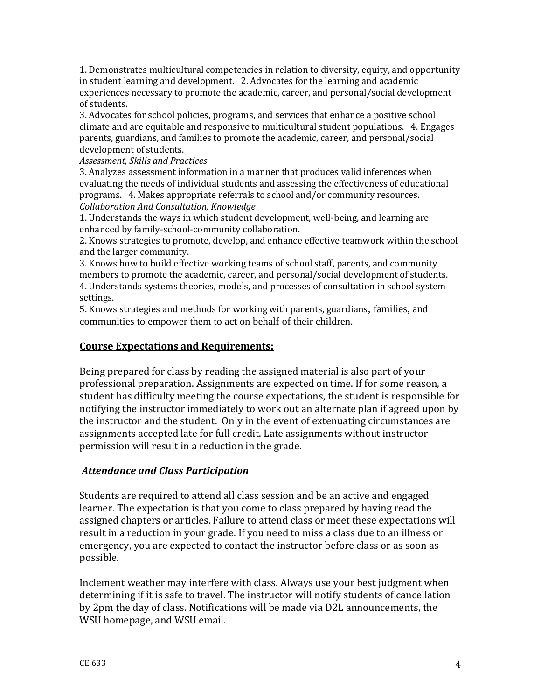1. Demonstrates multicultural competencies in relation to diversity, equity, and opportunity in student learning and development. 2. Advocates for the learning and academic experiences necessary to promote the academic, career, and personal/social development of students.

3. Advocates for school policies, programs, and services that enhance a positive school climate and are equitable and responsive to multicultural student populations. 4. Engages parents, guardians, and families to promote the academic, career, and personal/social development of students.

*Assessment, Skills and Practices*

3. Analyzes assessment information in a manner that produces valid inferences when evaluating the needs of individual students and assessing the effectiveness of educational programs. 4. Makes appropriate referrals to school and/or community resources. *Collaboration And Consultation, Knowledge*

1. Understands the ways in which student development, well-being, and learning are enhanced by family-school-community collaboration.

2. Knows strategies to promote, develop, and enhance effective teamwork within the school and the larger community.

3. Knows how to build effective working teams of school staff, parents, and community members to promote the academic, career, and personal/social development of students. 4. Understands systems theories, models, and processes of consultation in school system settings.

5. Knows strategies and methods for working with parents, guardians, families, and communities to empower them to act on behalf of their children.

### **Course Expectations and Requirements:**

Being prepared for class by reading the assigned material is also part of your professional preparation. Assignments are expected on time. If for some reason, a student has difficulty meeting the course expectations, the student is responsible for notifying the instructor immediately to work out an alternate plan if agreed upon by the instructor and the student. Only in the event of extenuating circumstances are assignments accepted late for full credit. Late assignments without instructor permission will result in a reduction in the grade.

## *Attendance and Class Participation*

Students are required to attend all class session and be an active and engaged learner. The expectation is that you come to class prepared by having read the assigned chapters or articles. Failure to attend class or meet these expectations will result in a reduction in your grade. If you need to miss a class due to an illness or emergency, you are expected to contact the instructor before class or as soon as possible.

Inclement weather may interfere with class. Always use your best judgment when determining if it is safe to travel. The instructor will notify students of cancellation by 2pm the day of class. Notifications will be made via D2L announcements, the WSU homepage, and WSU email.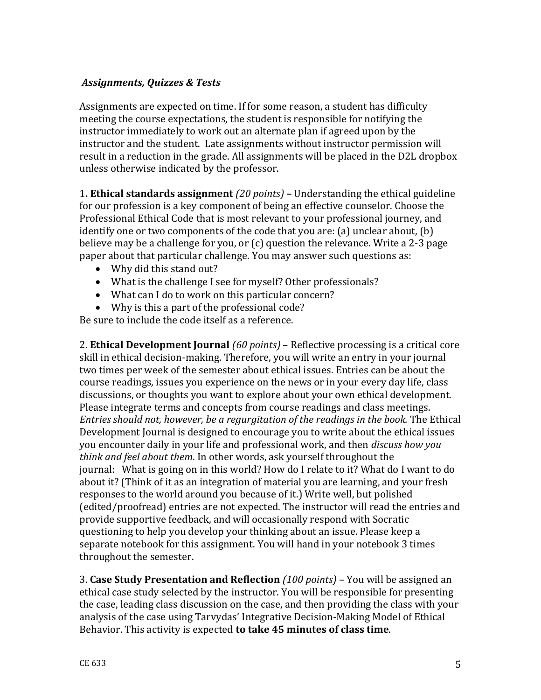## *Assignments, Quizzes & Tests*

Assignments are expected on time. If for some reason, a student has difficulty meeting the course expectations, the student is responsible for notifying the instructor immediately to work out an alternate plan if agreed upon by the instructor and the student. Late assignments without instructor permission will result in a reduction in the grade. All assignments will be placed in the D2L dropbox unless otherwise indicated by the professor.

1**. Ethical standards assignment** *(20 points)* **–** Understanding the ethical guideline for our profession is a key component of being an effective counselor. Choose the Professional Ethical Code that is most relevant to your professional journey, and identify one or two components of the code that you are: (a) unclear about, (b) believe may be a challenge for you, or (c) question the relevance. Write a 2-3 page paper about that particular challenge. You may answer such questions as:

- Why did this stand out?
- What is the challenge I see for myself? Other professionals?
- What can I do to work on this particular concern?
- Why is this a part of the professional code?

Be sure to include the code itself as a reference.

2. **Ethical Development Journal** *(60 points)* – Reflective processing is a critical core skill in ethical decision-making. Therefore, you will write an entry in your journal two times per week of the semester about ethical issues. Entries can be about the course readings, issues you experience on the news or in your every day life, class discussions, or thoughts you want to explore about your own ethical development. Please integrate terms and concepts from course readings and class meetings. *Entries should not, however, be a regurgitation of the readings in the book.* The Ethical Development Journal is designed to encourage you to write about the ethical issues you encounter daily in your life and professional work, and then *discuss how you think and feel about them*. In other words, ask yourself throughout the journal: What is going on in this world? How do I relate to it? What do I want to do about it? (Think of it as an integration of material you are learning, and your fresh responses to the world around you because of it.) Write well, but polished (edited/proofread) entries are not expected. The instructor will read the entries and provide supportive feedback, and will occasionally respond with Socratic questioning to help you develop your thinking about an issue. Please keep a separate notebook for this assignment. You will hand in your notebook 3 times throughout the semester.

3. **Case Study Presentation and Reflection** *(100 points)* – You will be assigned an ethical case study selected by the instructor. You will be responsible for presenting the case, leading class discussion on the case, and then providing the class with your analysis of the case using Tarvydas' Integrative Decision-Making Model of Ethical Behavior. This activity is expected **to take 45 minutes of class time**.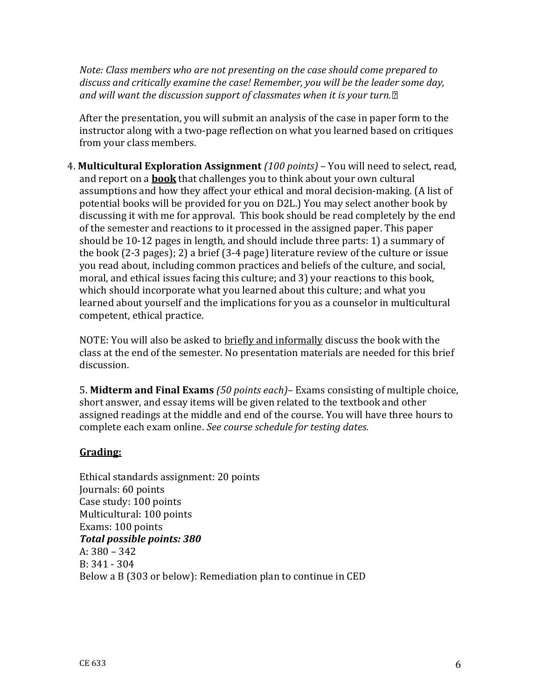*Note: Class members who are not presenting on the case should come prepared to discuss and critically examine the case! Remember, you will be the leader some day, and will want the discussion support of classmates when it is your turn.*

After the presentation, you will submit an analysis of the case in paper form to the instructor along with a two-page reflection on what you learned based on critiques from your class members.

4. **Multicultural Exploration Assignment** *(100 points)* – You will need to select, read, and report on a **book** that challenges you to think about your own cultural assumptions and how they affect your ethical and moral decision-making. (A list of potential books will be provided for you on D2L.) You may select another book by discussing it with me for approval. This book should be read completely by the end of the semester and reactions to it processed in the assigned paper. This paper should be 10-12 pages in length, and should include three parts: 1) a summary of the book (2-3 pages); 2) a brief (3-4 page) literature review of the culture or issue you read about, including common practices and beliefs of the culture, and social, moral, and ethical issues facing this culture; and 3) your reactions to this book, which should incorporate what you learned about this culture; and what you learned about yourself and the implications for you as a counselor in multicultural competent, ethical practice.

NOTE: You will also be asked to briefly and informally discuss the book with the class at the end of the semester. No presentation materials are needed for this brief discussion.

5. **Midterm and Final Exams** *(50 points each)*– Exams consisting of multiple choice, short answer, and essay items will be given related to the textbook and other assigned readings at the middle and end of the course. You will have three hours to complete each exam online. *See course schedule for testing dates.* 

# **Grading:**

Ethical standards assignment: 20 points Journals: 60 points Case study: 100 points Multicultural: 100 points Exams: 100 points *Total possible points: 380* A: 380 – 342 B: 341 - 304 Below a B (303 or below): Remediation plan to continue in CED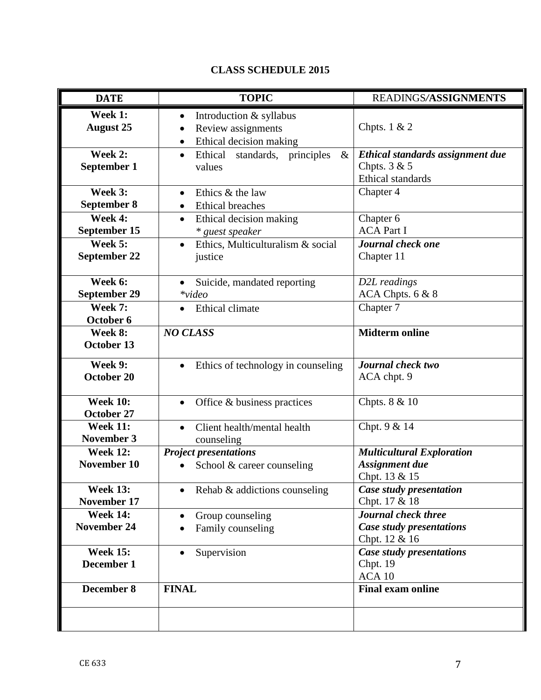| <b>DATE</b>                                           | <b>TOPIC</b>                                                                                                                                                       | READINGS/ASSIGNMENTS                                                                             |
|-------------------------------------------------------|--------------------------------------------------------------------------------------------------------------------------------------------------------------------|--------------------------------------------------------------------------------------------------|
| Week 1:<br><b>August 25</b><br>Week 2:<br>September 1 | Introduction & syllabus<br>$\bullet$<br>Review assignments<br>Ethical decision making<br>$\bullet$<br>$\&$<br>Ethical standards, principles<br>$\bullet$<br>values | Chpts. $1 & 2$<br>Ethical standards assignment due<br>Chpts. $3 & 5$<br><b>Ethical standards</b> |
| Week 3:<br>September 8<br>Week 4:<br>September 15     | Ethics & the law<br>$\bullet$<br><b>Ethical breaches</b><br>$\bullet$<br>Ethical decision making<br>$\bullet$<br>* guest speaker                                   | Chapter 4<br>Chapter 6<br><b>ACA Part I</b>                                                      |
| Week 5:<br>September 22                               | Ethics, Multiculturalism & social<br>justice                                                                                                                       | Journal check one<br>Chapter 11                                                                  |
| Week 6:<br><b>September 29</b><br><b>Week 7:</b>      | Suicide, mandated reporting<br>$\bullet$<br>$*$ video<br>Ethical climate                                                                                           | D2L readings<br>ACA Chpts. 6 & 8<br>Chapter 7                                                    |
| October 6<br>Week 8:<br>October 13                    | <b>NO CLASS</b>                                                                                                                                                    | <b>Midterm online</b>                                                                            |
| <b>Week 9:</b><br>October 20                          | Ethics of technology in counseling<br>$\bullet$                                                                                                                    | Journal check two<br>ACA chpt. 9                                                                 |
| <b>Week 10:</b><br>October 27                         | Office & business practices                                                                                                                                        | Chpts. 8 & 10                                                                                    |
| <b>Week 11:</b><br><b>November 3</b>                  | Client health/mental health<br>$\bullet$<br>counseling                                                                                                             | Chpt. 9 & 14                                                                                     |
| <b>Week 12:</b><br>November 10                        | <b>Project presentations</b><br>School & career counseling                                                                                                         | <b>Multicultural Exploration</b><br>Assignment due<br>Chpt. 13 & 15                              |
| <b>Week 13:</b><br>November 17                        | Rehab & addictions counseling                                                                                                                                      | Case study presentation<br>Chpt. 17 & 18                                                         |
| <b>Week 14:</b><br><b>November 24</b>                 | Group counseling<br>Family counseling                                                                                                                              | Journal check three<br>Case study presentations<br>Chpt. 12 & 16                                 |
| <b>Week 15:</b><br>December 1                         | Supervision                                                                                                                                                        | <b>Case study presentations</b><br>Chpt. 19<br>ACA 10                                            |
| December 8                                            | <b>FINAL</b>                                                                                                                                                       | <b>Final exam online</b>                                                                         |
|                                                       |                                                                                                                                                                    |                                                                                                  |

# **CLASS SCHEDULE 2015**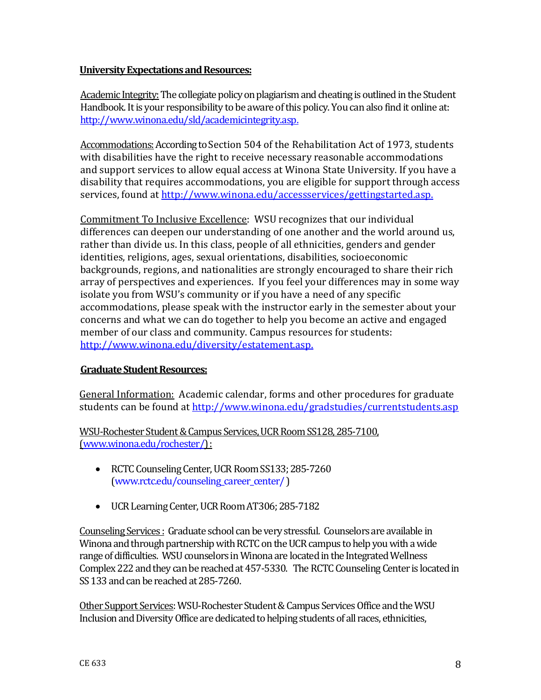### **University Expectations and Resources:**

Academic Integrity: The collegiate policy on plagiarism and cheating is outlined in the Student Handbook. It is your responsibility to be aware of this policy. You can also find it online at: [http://www.winona.edu/sld/academicintegrity.asp.](http://www.winona.edu/sld/academicintegrity.asp)

Accommodations: According to Section 504 of the Rehabilitation Act of 1973, students with disabilities have the right to receive necessary reasonable accommodations and support services to allow equal access at Winona State University. If you have a disability that requires accommodations, you are eligible for support through access services, found at [http://www.winona.edu/accessservices/gettingstarted.asp.](http://www.winona.edu/accessservices/gettingstarted.asp)

Commitment To Inclusive Excellence: WSU recognizes that our individual differences can deepen our understanding of one another and the world around us, rather than divide us. In this class, people of all ethnicities, genders and gender identities, religions, ages, sexual orientations, disabilities, socioeconomic backgrounds, regions, and nationalities are strongly encouraged to share their rich array of perspectives and experiences. If you feel your differences may in some way isolate you from WSU's community or if you have a need of any specific accommodations, please speak with the instructor early in the semester about your concerns and what we can do together to help you become an active and engaged member of our class and community. Campus resources for students: [http://www.winona.edu/diversity/estatement.asp.](http://www.winona.edu/diversity/estatement.asp)

## **Graduate Student Resources:**

General Information: Academic calendar, forms and other procedures for graduate students can be found at<http://www.winona.edu/gradstudies/currentstudents.asp>

WSU-Rochester Student & Campus Services, UCR Room SS128, 285-7100, [\(www.winona.edu/rochester/\)](http://www.winona.edu/rochester/) :

- RCTC Counseling Center, UCR Room SS133; 285-7260 [\(www.rctc.edu/counseling\\_career\\_center/](http://www.rctc.edu/counseling_career_center/) )
- UCR Learning Center, UCR Room AT306; 285-7182

Counseling Services : Graduate school can be very stressful. Counselors are available in Winona and through partnership with RCTC on the UCR campus to help you with a wide range of difficulties. WSU counselors in Winona are located in the Integrated Wellness Complex 222 and they can be reached at 457-5330. The RCTC Counseling Center is located in SS 133 and can be reached at 285-7260.

Other Support Services: WSU-Rochester Student & Campus Services Office and the WSU Inclusion and Diversity Office are dedicated to helping students of all races, ethnicities,